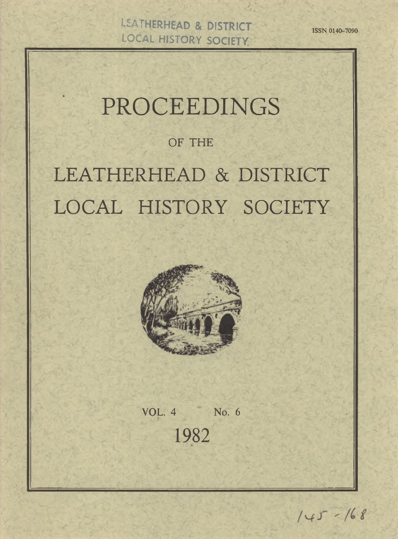**UEATHERHEAD & DISTRICT <b>ISSN 0140-7090 LOCAL HISTORY SOCIETY**

# PROCEEDINGS

OF THE

LEATHERHEAD & DISTRICT LOCAL HISTORY SOCIETY



VOL. 4 No. 6 1982

 $145 - 168$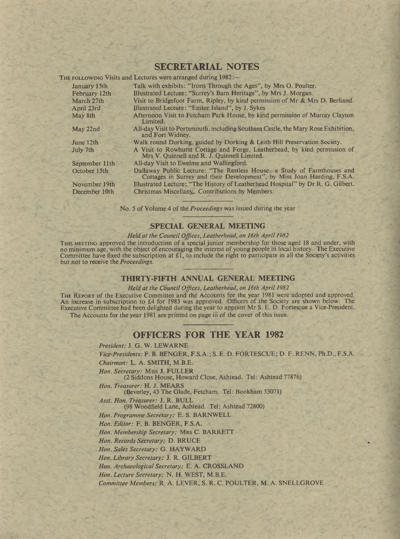## **SECRETARIAL NOTES**

or Louis C Vicite and Lectures

|                | TO THOUGH A TOTAL MARK THAN AND HAVE MARKED A MALLER TO                                                                                           |
|----------------|---------------------------------------------------------------------------------------------------------------------------------------------------|
| January 15th   | Talk with exhibits: "Irons Through the Ages", by Mrs O. Poulter.                                                                                  |
| February 12th  | Illustrated Lecture: "Surrey's Barn Heritage", by Mrs J. Morgan.                                                                                  |
| March 27th     | Visit to Bridgefoot Farm, Ripley, by kind permission of Mr & Mrs D. Berliand.                                                                     |
| April 23rd     | Illustrated Lecture: "Easter Island", by J. Sykes                                                                                                 |
| May 8th        | Afternoon Visit to Fetcham Park House, by kind permission of Murray Clayton<br>Limited.                                                           |
| May 22nd       | All-day Visit to Portsmouth, including Southsea Castle, the Mary Rose Exhibition,<br>and Fort Widney.                                             |
| June 12th      | Walk round Dorking, guided by Dorking & Leith Hill Preservation Society.                                                                          |
| July 7th       | A Visit to Rowhurst Cottage and Forge, Leatherhead, by kind permission of<br>Mrs V. Quinnell and R. J. Quinnell Limited.                          |
| September 11th | All-day Visit to Ewelme and Wallingford.                                                                                                          |
| October 15th   | Dallaway Public Lecture: "The Restless House—a Study of Farmhouses and<br>Cottages in Surrey and their Development", by Miss Joan Harding, F.S.A. |
| November 19th  | Illustrated Lecture: "The History of Leatherhead Hospital" by Dr R. G. Gilbert.                                                                   |

December 10th Christmas Miscellany, Contributions by Members.

No. 5 of Volume 4 of the *Proceedings* was issued during the year

### **SPECIAL GENERAL MEETING**

*Held at the Council Offices, Leatherhead, on 16th April 1982*

THIS MEETING approved the introduction of a special junior membership for those aged 18 and under, with no minimum age, with the object of encouraging the interest of young people in local history. The Executive Committee have fixed the subscription at £1, to include the right to participate in all the Society's activities but not to receive the *Proceedings.*

### **THIRTY-FIFTH ANNUAL GENERAL MEETING**

*Held at the Council Offices, Leatherhead, on 16th April 1982*

THE REPORT of the Executive Committee and the Accounts for the year 1981 were adopted and approved. An increase in subscription to £4 for 1983 was approved. Officers of the Society are shown below. The Executive Committee had been delighted during the year to appoint Mr S. E. D. Fortescue a Vice-President. The Accounts for the year 1981 are printed on page iii of the cover of this issue.

## **OFFICERS FOR THE YEAR 1982**

*President:* J. G. W. LEW ARNE *Vice-Presidents:* F. B. BENGER, F.S.A.; S. E. D. FORTESCUE; D. F. RENN, Ph.D., F.S.A. *Chairman:* L. A. SMITH, M.B.E. *Hon. Secretary:* Miss J. FULLER (2 Siddons House, Howard Close, Ashtead. Tel: Ashtead 77876) *Hon. Treasurer:* H. J. MEARS (Beverley, 43 The Glade, Fetcham. Tel: Bookham 53071) *Asst. Hon. Treasurer:* J. R. BULL (98 Woodfield Lane, Ashtead. Tel: Ashtead 72800) *Hon. Programme Secretary:* E. S. BARNWELL *Hon. Editor:* F. B. BENGER, F.S.A. Hon. Membership Secretary: MRS C. BARRETT *Hon. Records Secretary:* D. BRUCE *Hon. Sales Secretary:* G. HAYWARD *Hon. Library Secretary:* J. R. GILBERT *Hon. Archaeological Secretary:* E. A. CROSSLAND *Hon. Lecture Secretary:* N. H. WEST, M.B.E. *Committee Members:* R A. LEVER, S. R. C. POULTER, M. A. SNELLGROVE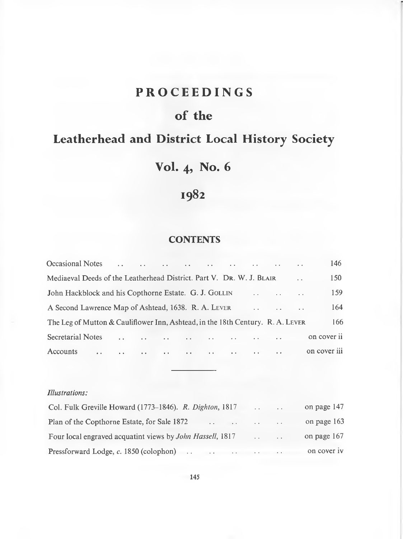## **PROCEEDINGS**

## **of the**

## **Leatherhead and District Local History Society**

## **Vol. 4, No. 6**

## **1982**

## **CONTENTS**

| Occasional Notes<br>and the same same same said the same same same                                                                                                                                                                                         |                      | $\sim$ $\sim$ | 146          |
|------------------------------------------------------------------------------------------------------------------------------------------------------------------------------------------------------------------------------------------------------------|----------------------|---------------|--------------|
| Mediaeval Deeds of the Leatherhead District. Part V. DR. W. J. BLAIR                                                                                                                                                                                       |                      |               | $150-15$     |
| John Hackblock and his Copthorne Estate. G. J. GOLLIN<br><b>Service</b>                                                                                                                                                                                    | $\sim$ $\sim$ $\sim$ |               | 159          |
| A Second Lawrence Map of Ashtead, 1638. R. A. LEVER<br>and the same                                                                                                                                                                                        |                      | $\sim$        | 164          |
| The Leg of Mutton & Cauliflower Inn, Ashtead, in the 18th Century. R. A. LEVER                                                                                                                                                                             |                      |               | 166          |
| <b>Secretarial Notes</b><br>and the company of the company of the company of the company of the company of the company of the company of the company of the company of the company of the company of the company of the company of the company of the comp | $\ddot{\phantom{0}}$ |               | on cover ii  |
| Accounts<br>the contract of the contract of the contract of the contract of the contract of the contract of the contract of<br>$\sim$                                                                                                                      | $\sim$ $\sim$        |               | on cover iii |

## *Illustrations:*

| Col. Fulk Greville Howard (1773–1846). R. Dighton, 1817                             | <b>Sales Controller</b>                            | $\cdot$ $\cdot$ | on page 147 |
|-------------------------------------------------------------------------------------|----------------------------------------------------|-----------------|-------------|
| Plan of the Copthorne Estate, for Sale 1872<br>the company's company of the company |                                                    |                 | on page 163 |
| Four local engraved acquatint views by <i>John Hassell</i> , 1817                   | $\mathbf{r}$ , and $\mathbf{r}$ , and $\mathbf{r}$ |                 | on page 167 |
| Pressforward Lodge, c. 1850 (colophon) $\cdots$ $\cdots$ $\cdots$                   |                                                    |                 | on cover iv |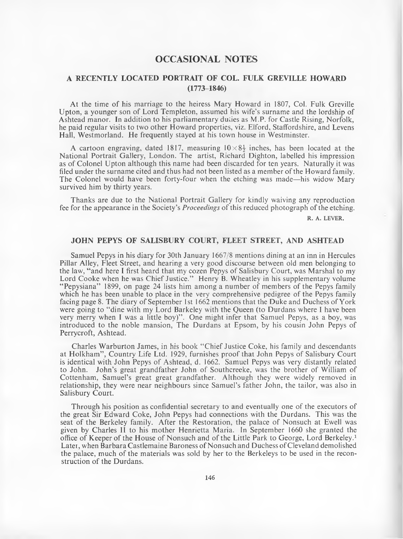## <span id="page-3-0"></span>**OCCASIONAL NOTES**

## **A RECENTLY LOCATED PORTRAIT OF COL. FULK GREVILLE HOWARD (1773-1846)**

At the time of his marriage to the heiress Mary Howard in 1807, Col. Fulk Greville Upton, a younger son of Lord Templeton, assumed his wife's surname and the lordship of Ashtead manor. In addition to his parliamentary duties as M.P. for Castle Rising, Norfolk, he paid regular visits to two other Howard properties, viz. Elford, Staffordshire, and Levens Hall, Westmorland. He frequently stayed at his town house in Westminster.

A cartoon engraving, dated 1817, measuring  $10 \times 8\frac{1}{2}$  inches, has been located at the National Portrait Gallery, London. The artist, Richard Dighton, labelled his impression as of Colonel Upton although this name had been discarded for ten years. Naturally it was filed under the surname cited and thus had not been listed as a member of the Howard family. The Colonel would have been forty-four when the etching was made—his widow Mary survived him by thirty years.

Thanks are due to the National Portrait Gallery for kindly waiving any reproduction fee for the appearance in the Society's *Proceedings* of this reduced photograph of the etching.

R. A. LEVER.

### **JOHN PEPYS OF SALISBURY COURT, FLEET STREET, AND ASHTEAD**

Samuel Pepys in his diary for 30th January 1667/8 mentions dining at an inn in Hercules Pillar Alley, Fleet Street, and hearing a very good discourse between old men belonging to the law, "and here I first heard that my cozen Pepys of Salisbury Court, was Marshal to my Lord Cooke when he was Chief Justice." Henry B. Wheatley in his supplementary volume " Pepysiana" 1899, on page 24 lists him among a number of members of the Pepys family which he has been unable to place in the very comprehensive pedigree of the Pepys family facing page 8. The diary of September 1st 1662 mentions that the Duke and Duchess of York were going to "dine with my Lord Barkeley with the Queen (to Durdans where 1 have been very merry when I was a little boy)" . One might infer that Samuel Pepys, as a boy, was introduced to the noble mansion, The Durdans at Epsom, by his cousin John Pepys of Perrycroft, Ashtead.

Charles Warburton James, in his book "Chief Justice Coke, his family and descendants at Holkham", Country Life Ltd. 1929, furnishes proof that John Pepys of Salisbury Court is identical with John Pepys of Ashtead, d. 1662. Samuel Pepys was very distantly related to John. John's great grandfather John of Southcreeke, was the brother of William of Cottenham, Samuel's great great grandfather. Although they were widely removed in relationship, they were near neighbours since Samuel's father John, the tailor, was also in Salisbury Court.

Through his position as confidential secretary to and eventually one of the executors of the great Sir Edward Coke, John Pepys had connections with the Durdans. This was the seat of the Berkeley family. After the Restoration, the palace of Nonsuch at Ewell was given by Charles II to his mother Henrietta Maria. In September 1660 she granted the office of Keeper of the House of Nonsuch and of the Little Park to George, Lord Berkeley.1 Later, when Barbara Castlemaine Baroness of Nonsuch and Duchess of Cleveland demolished the palace, much of the materials was sold by her to the Berkeleys to be used in the reconstruction of the Durdans.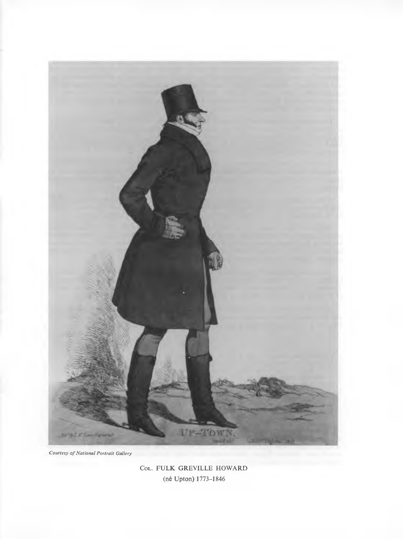

**Courtesy of National Portrait Gallery** 

COL. FULK GREVILLE HOWARD (ne Upton) 1773-1846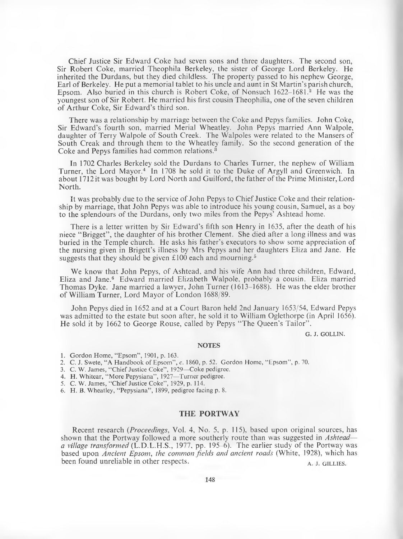Chief Justice Sir Edward Coke had seven sons and three daughters. The second son, Sir Robert Coke, married Theophila Berkeley, the sister of George Lord Berkeley. He inherited the Durdans, but they died childless. The property passed to his nephew George, Earl of Berkeley. He put a memorial tablet to his uncle and aunt in St Martin's parish church, Epsom. Also buried in this church is Robert Coke, of Nonsuch 1622–1681.<sup>2</sup> He was the youngest son of Sir Robert. He married his first cousin Theophilia, one of the seven children of Arthur Coke, Sir Edward's third son.

There was a relationship by marriage between the Coke and Pepys families. John Coke, Sir Edward's fourth son, married Merial Wheatley. John Pepys married Ann Walpole, daughter of Terry Walpole of South Creek. The Walpoles were related to the Mansers of South Creak and through them to the Wheatley family. So the second generation of the Coke and Pepys families had common relations.<sup>3</sup>

In 1702 Charles Berkeley sold the Durdans to Charles Turner, the nephew of William Turner, the Lord Mayor.4 In 1708 he sold it to the Duke of Argyll and Greenwich. In about 17I2it was bought by Lord North and Guilford, the father of the Prime Minister, Lord North.

It was probably due to the service of John Pepys to Chief Justice Coke and their relationship by marriage, that John Pepys was able to introduce his young cousin, Samuel, as a boy to the splendours of the Durdans, only two miles from the Pepys' Ashtead home.

There is a letter written by Sir Edward's fifth son Henry in 1635, after the death of his niece " Brigget" , the daughter of his brother Clement. She died after a long illness and was buried in the Temple church. He asks his father's executors to show some appreciation of the nursing given in Brigett's illness by Mrs Pepys and her daughters Eliza and Jane. He suggests that they should be given  $£100$  each and mourning.<sup>5</sup>

We know that John Pepys, of Ashtead, and his wife Ann had three children, Edward, Eliza and Jane.6 Edward married Elizabeth Walpole, probably a cousin. Eliza married Thomas Dyke. Jane married a lawyer, John Turner (1613-1688). He was the elder brother of William Turner, Lord Mayor of London 1688/89.

John Pepys died in 1652 and at a Court Baron held 2nd January 1653/54, Edward Pepys was admitted to the estate but soon after, he sold it to William Oglethorpe (in April 1656). He sold it by 1662 to George Rouse, called by Pepys "The Queen's Tailor".

G. J. GOLLIN.

#### **NOTES**

- 1. Gordon Home, "Epsom", 1901, p. 163.
- 2. C. J. Swete, "A Handbook of Epsom", *c.* 1860, p. 52. Gordon Home, "Epsom", p. 70.
- 3. C. W. James, "Chief Justice Coke", 1929—Coke pedigree.
- 4. H. Whitear, "More Pepysiana", 1927—Turner pedigree.
- 5. C. W. James, "Chief Justice Coke", 1929, p. 114.
- 6. H. B. Wheatley, "Pepysiana", 1899, pedigree facing p. 8.

#### **THE PORTWAY**

Recent research (*Proceedings*, Vol. 4, No. 5, p. 115), based upon original sources, has shown that the Portway followed a more southerly route than was suggested in *Ashtead a village transformed* (L.D.L.H.S., 1977, pp. 195-6). The earlier study of the Portway was based upon *Ancient Epsom, the common fields and ancient roads* (White, 1928), which has been found unreliable in other respects. A, J, GILLIES.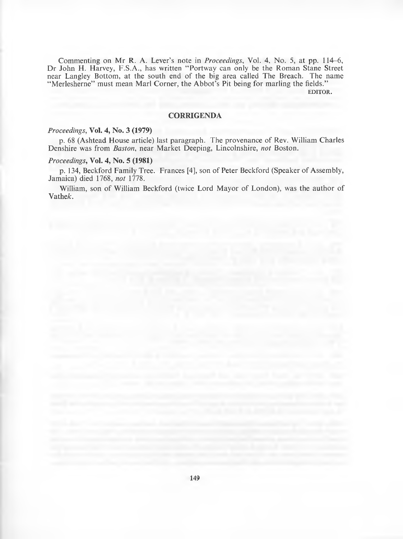Commenting on Mr R. A. Lever's note in *Proceedings,* Vol. *4,* No. 5, at pp. 114-6, Dr John H. Harvey, F.S.A., has written "Portway can only be the Roman Stane Street near Langley Bottom, at the south end of the big area called The Breach. The name "Merlesherne" must mean Marl Corner, the Abbot's Pit being for marling the fields."

EDITOR.

### **CORRIGENDA**

#### *Proceedings,* **Vol. 4, No. 3 (1979)**

p. 68 (Ashtead House article) last paragraph. The provenance of Rev. William Charles Denshire was from *Boston,* near Market Deeping, Lincolnshire, *not* Boston.

#### *Proceedings,* **Vol. 4, No. 5 (1981)**

p. 134, Beckford Family Tree. Frances [4], son of Peter Beckford (Speaker of Assembly, Jamaica) died 1768, *not* 1778.

William, son of William Beckford (twice Lord Mayor of London), was the author of Vathek.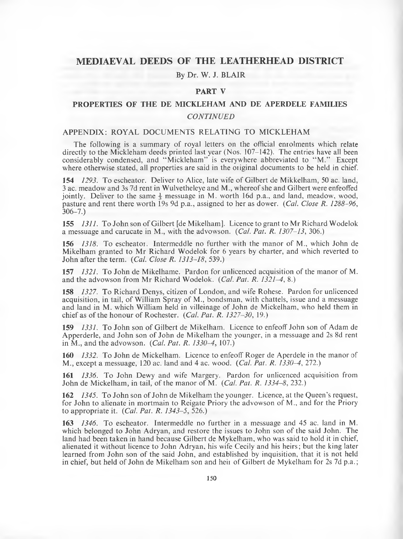## **MEDIAEVAL DEEDS OF THE LEATHERHEAD DISTRICT**

#### By Dr. W. J. BLAIR

### PART V

## PROPERTIES OF THE DE MICKLEHAM AND DE APERDELE FAMILIES *CONTINUED*

### APPENDIX: ROYAL DOCUMENTS RELATING TO MICKLEHAM

The following is a summary of royal letters on the official enrolments which relate directly to the Mickleham deeds printed last year (Nos. 107-142). The entries have all been considerably condensed, and " Mickleham" is everywhere abbreviated to " M." Except where otherwise stated, all properties are said in the original documents to be held in chief.

154 *1293.* To escheator. Deliver to Alice, late wife of Gilbert de Mikkelham, 50 ac. land, 3 ac. meadow and 3s 7d rent in Wulvetheleye and M., whereof she and Gilbert were enfeoffed jointly. Deliver to the same  $\frac{1}{3}$  messuage in M. worth 16d p.a., and land, meadow, wood, pasture and rent there worth 19s 9d p.a., assigned to her as dower. *(Cal. Close R. 1288-96,* 306-7.)

155 *1311.* To John son of Gilbert [de Mikelham]. Licence to grant to Mr Richard Wodelok a messuage and carucate in M., with the advowson. *(Cal. Pat. R. 1307-13,* 306.)

156 *1318.* To escheatoi. Intermeddle no further with the manor of M., which John de Mikelham granted to Mr Richard Wodelok for 6 years by charter, and which reverted to John after the term. *(Cal. Close R. 1313-18,* 539.)

157 *1321.* To John de Mikelhame. Pardon for unlicenced acquisition of the manor of M. and the advowson from Mr Richard Wodelok. *(Cal. Pat. R. 1321-4,* 8.)

158 *1327.* To Richard Denys, citizen of London, and wife Rohese. Pardon for unlicenced acquisition, in tail, of William Spray of M., bondsman, with chattels, issue and a messuage and land in M. which William held in villeinage of John de Mickelham, who held them in chief as of the honour of Rochester. *(Cal. Pat. R. 1327-30,* 19.)

159 *1331.* To John son of Gilbert de Mikelham. Licence to enfeoff John son of Adam de Apperderle, and John son of John de Mikelham the younger, in a messuage and 2s 8d rent in M., and the advowson. *(Cal. Pat. R. 1330-4,* 107.)

160 *1332.* To John de Mickelham. Licence to enfeoff Roger de Aperdele in the manor of M., except a messuage, 120 ac. land and 4 ac. wood. *(Cal. Pat. R. 1330-4,* 272.)

161 *1336.* To John Dewy and wife Margery. Pardon for unlicenced acquisition from John de Mickelham, in tail, of the manor of M. *(Cal. Pat. R. 1334-8,* 232.)

162 *1345.* To John son of John de Mikelham the younger. Licence, at the Queen's request, for John to alienate in mortmain to Reigate Priory the advowson of M., and for the Priory to appropriate it. *(Cal. Pat. R. 1343-5,* 526.)

163 *1346.* To escheator. Intermeddle no further in a messuage and 45 ac. land in M. which belonged to John Adryan, and restore the issues to John son of the said John. The land had been taken in hand because Gilbert de Mykelham, who was said to hold it in chief, alienated it without licence to John Adryan, his wife Cecily and his heirs; but the king later learned from John son of the said John, and established by inquisition, that it is not held in chief, but held of John de Mikelham son and heii of Gilbert de Mykelham for 2s 7d p.a.;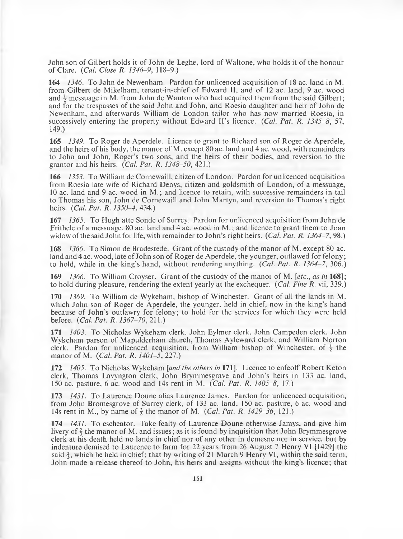John son of Gilbert holds it of John de Leghe, lord of Waltone, who holds it of the honour of Clare. (*Cal. Close R. 1346-9,* 118-9.)

164 *1346.* To John de Newenham. Pardon for unlicenced acquisition of 18 ac. land in M. from Gilbert de Mikelham, tenant-in-chief of Edward II, and of 12 ac. land, 9 ac. wood and *j* messuage in M. from John de Wauton who had acquired them from the said Gilbert; and for the trespasses of the said John and John, and Roesia daughter and heir of John de Newenham, and afterwards William de London tailor who has now married Roesia, in successively entering the property without Edward II's licence. *(Cal. Pat. R. 1345-8, 51,* 149.)

165 *1349.* To Roger de Aperdele. Licence to grant to Richard son of Roger de Aperdele, and the heirs of his body, the manor of M. except 80 ac. land and 4 ac. wood, with remainders to John and John, Roger's two sons, and the heirs of their bodies, and reversion to the grantor and his heirs. *(Cal. Pat. R. 1348-50,* 421.)

166 *1353.* To William de Cornewaill, citizen of London. Pardon for unlicenced acquisition from Roesia late wife of Richard Denys, citizen and goldsmith of London, of a messuage, 10 ac. land and 9 ac. wood in M.; and licence to retain, with successive remainders in tail to Thomas his son, John de Cornewaill and John Martyn, and reversion to Thomas's right heirs. *(Cal. Pat. R. 1350-4,* 434.)

167 *1365.* To Hugh atte Sonde of Surrey. Pardon for unlicenced acquisition from John de Frithele of a messuage, 80 ac. land and 4 ac. wood in M .; and licence to grant them to Joan widow of the said John for life, with remainder to John's right heirs. *(Cal. Pat. R. 1364–7, 98.)* 

168 *1366.* To Simon de Bradestede. Grant of the custody of the manor of M. except 80 ac. land and 4 ac. wood, late of John son of Roger de Aperdele, the younger, outlawed for felony; to hold, while in the king's hand, without rendering anything. *(Cat. Pat. R. 1364-7,* 306.)

169 *1366.* To William Croyser. Grant of the custody of the manor of M. *[etc., as in* 168]; to hold during pleasure, rendering the extent yearly at the exchequer. *(Cal. Fine R.* vii, 339.)

170 *1369.* To William de Wykeham, bishop of Winchester. Grant of all the lands in M. which John son of Roger de Aperdele, the younger, held in chief, now in the king's hand because of John's outlawry for felony; to hold for the services for which they were held before. *(Cal. Pat. R. 1367-70,* 211.)

171 *1403.* To Nicholas Wykeham clerk, John Eylmer clerk, John Campeden clerk, John Wykeham parson of Mapulderham church, Thomas Ayleward clerk, and William Norton clerk. Pardon for unlicenced acquisition, from William bishop of Winchester, of  $\frac{1}{2}$  the manor of M. *(Cal. Pat. R. 1401-5,* 227.)

172 *1405.* To Nicholas Wykeham *[and the others in* 171]. Licence to enfeoff Robert Keton clerk, Thomas Lavyngton clerk, John Brymmesgrave and John's heirs in 133 ac. land, 150 ac. pasture, 6 ac. wood and 14s rent in M. *(Cal. Pat. R. 1405-8,* 17.)

173 *1431.* To Laurence Doune alias Laurence James. Pardon for unlicenced acquisition, from John Bromesgrove of Surrey clerk, of 133 ac. land, 150 ac. pasture, 6 ac. wood and 14s rent in M., by name of § the manor of M. *(Cal. Pat. R. 1429-36,* 121.)

174 *1431.* To escheator. Take fealty of Laurence Doune otherwise Jamys, and give him livery of  $\frac{2}{3}$  the manor of M. and issues; as it is found by inquisition that John Brymmesgrove clerk at his death held no lands in chief nor of any other in demesne nor in service, but by indenture demised to Laurence to farm for 22 years from 26 August 7 Henry VI [1429] the said  $\frac{2}{3}$ , which he held in chief; that by writing of 21 March 9 Henry VI, within the said term, John made a release thereof to John, his heirs and assigns without the king's licence; that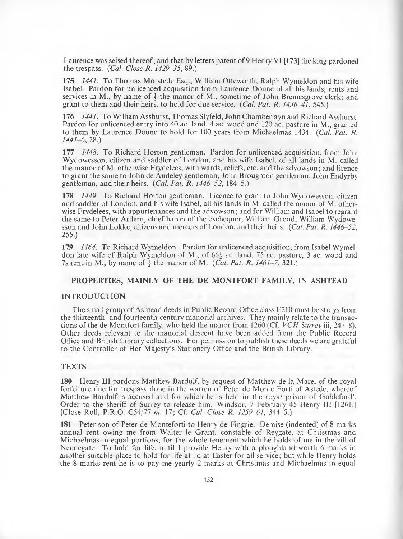Laurence was seised thereof; and that by letters patent of 9 Henry VI [173] the king pardoned the trespass. *(Cal. Close R. 1429-35,* 89.)

**175** *1441.* To Thomas Morstede Esq., William Otteworth, Ralph Wymeldon and his wife Isabel. Pardon for unlicenced acquisition from Laurence Doune of all his lands, rents and services in M., by name of  $\frac{1}{3}$  the manor of M., sometime of John Bremesgrove clerk; and grant to them and their heirs, to hold for due service. *(Cat. Pat. R. 1436-41*, 545.)

**176** *1441.* To William Asshurst, Thomas Slyfeld, John Chamberlayn and Richard Asshurst. Pardon for unlicenced entry into 40 ac. land, 4 ac. wood and 120 ac. pasture in M., granted to them by Laurence Doune to hold for 100 years from Michaelmas 1434. *(Cal. Pat. R. 1441-6,* 28.)

**177** *1448.* To Richard Horton gentleman. Pardon for unlicenced acquisition, from John Wydowesson, citizen and saddler of London, and his wife Isabel, of all lands in M. called the manor of M. otherwise Frydelees, with wards, reliefs, etc. and the advowson; and licence to grant the same to John de Audeley gentleman, John Broughton gentleman, John Endyrby gentleman, and their heirs. *(Cal. Pat. R. 1446-52,* 184-5.)

**178** *1449.* To Richard Horton gentleman. Licence to grant to John Wydowesson, citizen and saddler of London, and his wife Isabel, all his lands in M. called the manor of M. otherwise Frydelees, with appurtenances and the advowson; and for William and Isabel to regrant the same to Peter Ardern, chief baron of the exchequer, William Grond, William Wydowesson and John Lokke, citizens and mercers of London, and their heirs. *(Cal. Pat. R. 1446-52,* 255.)

**179** *1464.* To Richard Wymeldon. Pardon for unlicenced acquisition, from Isabel Wymeldon late wife of Ralph Wymeldon of M., of  $66\frac{1}{2}$  ac. land, 75 ac. pasture, 3 ac. wood and 7s rent in M., by name of  $\frac{1}{3}$  the manor of M. *(Cal. Pat. R. 1461-7,* 321.)

#### **PROPERTIES, MAINLY OF THE DE MONTFORT FAMILY, IN ASHTEAD**

#### **INTRODUCTION**

The small group of Ashtead deeds in Public Record Office class E210 must be strays from the thirteenth- and fourteenth-century manorial archives. They mainly relate to the transactions of the de Montfort family, who held the manor from 1260 (Cf. *VCH Surrey* iii, 247-8). Other deeds relevant to the manorial descent have been added from the Public Record Office and British Library collections. For permission to publish these deeds we are grateful to the Controller of Her Majesty's Stationery Office and the British Library.

### **TEXTS**

**180** Henry **III** pardons Matthew Bardulf, by request of Matthew de la Mare, of the royal forfeiture due for trespass done in the warren of Peter de Monte Forti of Astede, whereof Matthew Bardulf is accused and for which he is held in the royal prison of Guldeford'. Order to the sheriff of Surrey to release him. Windsor, 7 February 45 Henry III [1261.] [Close Roll, P.R.O. C54/77 *m.* 17; Cf. *Cal. Close R. 1259-61,* 344-5.]

**181** Peter son of Peter de Monteforti to Henry de Fingrie. Demise (indented) of 8 marks annual rent owing me from Walter le Grant, constable of Reygate, at Christmas and Michaelmas in equal portions, for the whole tenement which he holds of me in the vill of Neudegate. To hold for life, until I provide Henry with a ploughland worth 6 marks in another suitable place to hold for life at Id at Easter for all service; but while Henry holds the 8 marks rent he is to pay me yearly 2 marks at Christmas and Michaelmas in equal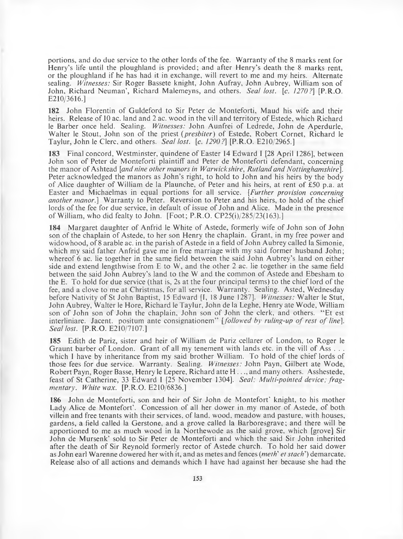portions, and do due service to the other lords of the fee. Warranty of the 8 marks rent for Henry's life until the ploughland is provided; and after Henry's death the 8 marks rent, or the ploughland if he has had it in exchange, will revert to me and my heirs. Alternate sealing. *Witnesses:* Sir Roger Bassete knight, John Aufray, John Aubrey, William son of John, Richard Neuman', Richard Malemeyns, and others. *SeaI lost.* [c. *1270?]* [P.R.O. E210/3616.]

**182** John Florentin of Guldeford to Sir Peter de Monteforti, Maud his wife and their heirs. Release of 10 ac. land and 2 ac. wood in the vill and territory of Estede, which Richard le Barber once held. Sealing. *Witnesses:* John Aunfrei of Ledrede, John de Aperdurle, Walter le Stout, John son of the priest ( *presbiter)* of Estede, Robert Cornet, Richard le Taylur, John le Clerc, and others. *Seal lost.* [c. *1290?]* [P.R.O. E210/2965.]

**183** Final concord, Westminster, quindene of Easter 14 Edward **I** [28 April 1286], between John son of Peter de Monteforti plaintiff and Peter de Monteforti defendant, concerning the manor of Ashtead [*and nine other manors in Warwickshire*, *Rutland and Nottinghamshire],* Peter acknowledged the manors as John's right, to hold to John and his heirs by the body of Alice daughter of William de la Plaunche, of Peter and his heirs, at rent of £50 p.a. at Easter and Michaelmas in equal portions for all service. [*Further provision concerning another manor.]* Warranty to Peter. Reversion to Peter and his heirs, to hold of the chief lords of the fee for due service, in default of issue of John and Alice. Made in the presence of William, who did fealty to John. [Foot; P.R.O. CP25(i)/285/23( 163).]

**184** Margaret daughter of Anfrid le White of Astede, formerly wife of John son of John son of the chaplain of Astede, to her son Henry the chaplain. Grant, in my free power and widowhood, of 8 arable ac. in the parish of Astede in a field of John Aubrey called la Simonie, which my said father Anfrid gave me in free marriage with my said former husband John; whereof 6 ac. lie together in the same field between the said John Aubrey's land on either side and extend lengthwise from E to W, and the other 2 ac. lie together in the same field between the said John Aubrey's land to the W and the common of Astede and Ebesham to the E. To hold for due service (that is, 2s at the four principal terms) to the chief lord of the fee, and a clove to me at Christmas, for all service. Warranty. Sealing. Asted, Wednesday before Nativity of St John Baptist, 15 Edward [I, 18 June 1287]. *Witnesses:* Walter le Stut, John Aubrey, Walter le Hore, Richard le Taylur, John de la Leghe, Henry ate Wode, William son of John son of John the chaplain, John son of John the clerk, and others. " Et est interliniare. Jacent. positum ante consignationem" [*followed by ruling-up of rest of line*]. *Seal lost.* [P.R.O. E210/7107.]

**185** Edith de Pariz, sister and heir of William de Pariz cellarer of London, to Roger le Graunt barber of London. Grant of all my tenement with lands etc. in the vill of Ass... which 1 have by inheritance from my said brother William. To hold of the chief lords of those fees for due service. Warranty. Sealing. *Witnesses:* John Payn, Gilbert ate Wode, Robert Payn, Roger Basse, Henry le Lepere, Richard atte H ..., and many others. Asshestede, feast of St Catherine, 33 Edward I [25 November 1304]. *Seal: Multi-pointed device; fragmentary. White wax.* [P.R.O. E210/6836.]

**186** John de Monteforti, son and heir of Sir John de Montefort' knight, to his mother Lady Alice de Montefort'. Concession of all her dower in my manor of Astede, of both villein and free tenants with their services, of land, wood, meadow and pasture, with houses, gardens, a field called la Gerstone, and a grove called la Barboresgrave; and there will be apportioned to me as much wood in la Northewode as the said grove, which [grove] Sir John de Mursenk' sold to Sir Peter de Monteforti and which the said Sir John inherited after the death of Sir Reynold formerly rector of Astede church. To hold her said dower as John earl Warenne dowered her with it, and as metes and fences (*meth*' *et stach')* demarcate. Release also of all actions and demands which I have had against her because she had the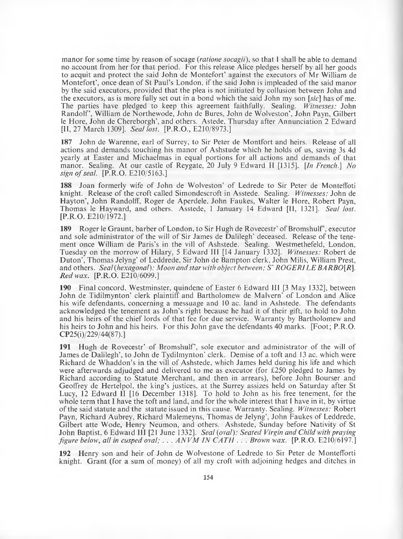manor for some time by reason of socage *(ratione socagii),* so that I shall be able to demand no account from her for that period. For this release Alice pledges herself by all her goods to acquit and protect the said John de Montefort' against the executors of Mr William de Montefort', once dean of St Paul's London, if the said John is impleaded of the said manor by the said executors, provided that the plea is not initiated by collusion between John and the executors, as is more fully set out in a bond which the said John my son [sic] has of me. The parties have pledged to keep this agreement faithfully. Sealing. *Witnesses:* John Randolf', William de Northewode, John de Bures, John de Wolveston', John Payn, Gilbert le Hore, John de Chereborgh', and others. Astede, Thursday after Annunciation 2 Edward [II, 27 March 1309], *Seat lost.* [P.R.O., E210/8973.]

187 John de Warenne, earl of Surrey, to Sir Peter de Montfort and heirs. Release of all actions and demands touching his manor of Ashstude which he holds of us, saving 3s 4d yearly at Easter and Michaelmas in equal portions for all actions and demands of that manor. Sealing. At our castle of Reygate, 20 July 9 Edward II [1315]. *[In French*.] *No sign of seal.* [P.R.O. E210/5163.]

188 Joan formerly wife of John de Wolveston' of Ledrede to Sir Peter de Monteffoti knight. Release of the croft called Simondescroft in Asstede. Sealing. *Witnesses:* John de Hayton', John Randolff, Roger de Aperdele, John Faukes, Walter le Hore, Robert Payn, Thomas le Hayward, and others. Asstede, 1 January 14 Edward [II, 1321]. *Sea! lost.* [P.R.O. E210/1972.]

189 Roger le Graunt, barber of London, to Sir Hugh de Rovecestr' of Bromshulf', executor and sole administrator of the will of Sir James de Dalilegh' deceased. Release of the tenement once William de Paris's in the vill of Ashstede. Sealing. Westmethefeld, London, Tuesday on the morrow of Hilary, 5 Edward III [14 January 1332], *Witnesses:* Robert de Duton', Thomas Jelyng' of Leddrede, Sir John de Bampton clerk, John Milis, William Prest, and others. *Sea! (hexagonal): Moon and star with object between: S' ROGERI LE BARBO[R], Red wax.* [P.R.O. E210/6099.]

190 Final concord, Westminster, quindene of Easter 6 Edward III [3 May 1332], between John de Tidilmynton' clerk plaintiff and Bartholomew de Malvern' of London and Alice his wife defendants, concerning a messuage and 10 ac. land in Ashstede. The defendants acknowledged the tenement as John's right because he had it of their gift, to hold to John and his heirs of the chief lords of that fee for due service. Warranty by Bartholomew and his heirs to John and his heirs. For this John gave the defendants 40 marks. [Foot; P.R.O. CP25(i)/229/44(87).]

191 Hugh de Rovecestr' of Bromshulf', sole executor and administrator of the will of James de Dalilegh', to John de Tydilmynton' clerk. Demise of a toft and 13 ac. which were Richard de Whaddon's in the vill of Ashstede, which James held during his life and which were afterwards adjudged and delivered to me as executor (for £250 pledged to James by Richard according to Statute Merchant, and then in arrears), before John Bourser and Geoffrey de Hertelpol, the king's justices, at the Surrey assizes held on Saturday after St Lucy, 12 Edward II [16 December 1318]. To hold to John as his free tenement, for the whole term that I have the toft and land, and for the whole interest that I have in it, by virtue of the said statute and the statute issued in this cause. Warranty. Sealing. *Witnesses:* Robert Payn, Richard Aubrey, Richard Malemeyns, Thomas de Jelyng', John Faukes of Leddrede, Gilbert atte Wode, Henry Neumon, and others. Ashstede, Sunday before Nativity of St John Baptist, 6 Edwaid III [21 June 1332]. *Seal (oval): Seated Virgin and Child with praying figure below, all in cusped oval; ... ANVM IN CATH ... Brown wax.* [P.R.O. E210/6197.]

192 Henry son and heir of John de Wolvestone of Ledrede to Sir Peter de Montefforti knight. Grant (for a sum of money) of all my croft with adjoining hedges and ditches in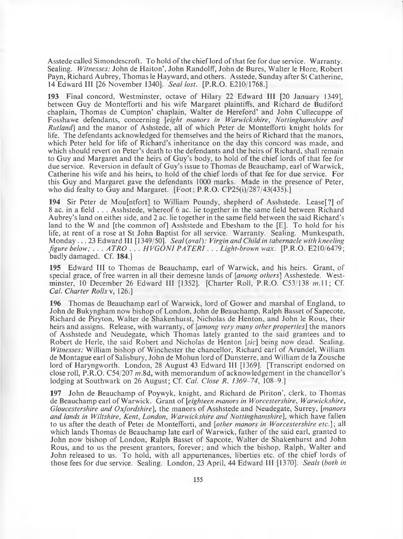Asstede called Simondescroft. To hold of the chief lord of that fee for due service. Warranty. Sealing. *Witnesses:* John de Haiton', John Randolff, John de Bures, Walter le Hore, Robert Payn, Richard Aubrey, Thomas le Hayward, and others. Asstede, Sunday after St Catherine, 14 Edward III [26 November 1340], *Seal lost.* [P.R.O. E210/1768.]

**193** Final concord, Westminster, octave of Hilary 22 Edward III [20 January 1349], between Guy de Montefforti and his wife Margaret plaintiffs, and Richard de Budiford chaplain, Thomas de Cumpton' chaplain, Walter de Hereford' and John Cullecuppe of Fosshawe defendants, concerning *[eight manors in Warwickshire, Nottinghamshire and Rutland*] and the manor of Ashstede, all of which Peter de Montefforti knight holds for life. The defendants acknowledged for themselves and the heirs of Richard that the manors, which Peter held for life of Richard's inheritance on the day this concord was made, and which should revert on Peter's death to the defendants and the heirs of Richard, shall remain to Guy and Margaret and the heirs of Guy's body, to hold of the chief lords of that fee for due service. Reversion in default of Guy's issue to Thomas de Beauchamp, earl of Warwick, Catherine his wife and his heirs, to hold of the chief lords of that fee for due service. For this Guy and Margaret gave the defendants 1000 marks. Made in the presence of Peter, who did fealty to Guy and Margaret. [Foot; P.R.O. CP25(i)/287/43(435).]

**194** Sir Peter de Mou[ntfort] to William Poundy, shepherd of Asshstede. Lease[?] of 8 ac. in a field . . . Asshstede, whereof 6 ac. lie together in the same field between Richard Aubrey's land on eithei side, and 2 ac. lie together in the same field between the said Richard's land to the W and [the common of] Asshstede and Ebesham to the [E]. To hold for his life, at rent of a rose at St John Baptist for all service. Warranty. Sealing. Munkespath, M onday. .. 23 Edward III [1349/50]. *Seal (oval): Virgin and Child in tabernacle with kneeling figure below; ... ATRO ... HVGONI PATERI... Light-brown wax.* [P.R.O. E210/6479; badly damaged. Cf. **184.]**

195 Edward III to Thomas de Beauchamp, earl of Warwick, and his heirs. Grant, of special grace, of free warren in all their demesne lands of *[among others]* Asshestede. Westminster, 10 December 26 Edward III [1352]. [Charter Roll, P.R.O. C53/138 m.11; Cf. *Cal. Charter Rolls* v, 126.]

**196** Thomas de Beauchamp earl of Warwick, lord of Gower and marshal of England, to John de Bukyngham now bishop of London, John de Beauchamp, Ralph Basset of Sapecote, Richard de Piryton, Walter de Shakenhurst, Nicholas de Henton, and John le Rous, their heirs and assigns. Release, with warranty, of *[among very many other properties*] the manors of Asshstede and Neudegate, which Thomas lately granted to the said grantees and to Robert de Herle, the said Robert and Nicholas de Henton [sic] being now dead. Sealing. *Witnesses:* William bishop of Winchester the chancellor, Richard earl of Arundel, William de Montague earl of Salisbury, John de Mohun lord of Dunsterre, and William de la Zousche lord of Haryngworth. London, 28 August 43 Edward III [1369], [Transcript endorsed on close roll, P.R.O. C54/207 *m.*8d, with memorandum of acknowledgement in the chancellor's lodging at Southwark on 26 August; Cf. *Cal. Close R. 1369-74,* 108-9.]

**197** John de Beauchamp of Poywyk, knight, and Richard de Piriton', clerk, to Thomas de Beauchamp earl of Warwick. Grant of *[eighteen manors in Worcestershire, Warwickshire, Gloucestershire and Oxfordshire*], the manors of Asshstede and Neudegate, Surrey, *[manors and lands in Wiltshire, Kent, London, Warwickshire and Nottinghamshire*], which have fallen to us after the death of Peter de Montefforti, and *[other manors in Worcestershire etc.] ',* all which lands Thomas de Beauchamp late earl of Warwick, father of the said earl, granted to John now bishop of London, Ralph Basset of Sapcote, Walter de Shakenhurst and John Rous, and to us the present grantors, forever; and which the bishop, Ralph, Walter and John released to us. To hold, with all appurtenances, liberties etc. of the chief lords of those fees for due service. Sealing. London, 23 April, 44 Edward III [1370]. *Seats (both in*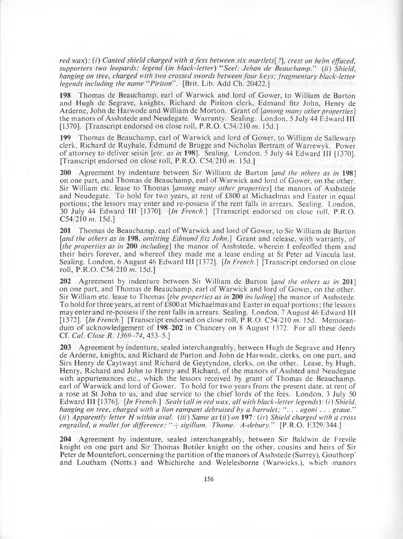*red wax): (i) Canted shield charged with a fess between six martlets[?], crest on helm effaced, supporters two leopards; legend (in black-letter)* "*Seel: Jehan de Beauchamp." (ii) Shield, hanging on tree, charged with two crossed swords between four keys; fragmentary black-letter legends including the name* "*Piriton*" . [Brit. Lib. Add Ch. 20422.]

**198** Thomas de Beauchamp, earl of Warwick and lord of Gower, to William de Burton and Hugh de Segrave, knights, Richard de Piriton clerk, Edmund fitz John, Henry de Arderne, John de Harwode and William de Morton. Grant of *[among many other properties]* the manors of Asshstede and Neudegate. Warranty. Sealing. London, 5 July 44 Edward III [1370]. [Transcript endorsed on close roll, P.R.O. C54/210 *m.* 15d.]

**199** Thomas de Beauchamp, earl of Warwick and lord of Gower, to William de Sallewarp clerk, Richard de Ruyhale, Edmund de Brugge and Nicholas Bertram of Warrewyk. Power of attorney to deliver seisin *[etc. as in* **198],** Sealing. London, 5 July 44 Edward III [1370]. [Transcript endorsed on close roll, P.R.O. C54/210 *m.* 15d.]

**200** Agreement by indenture between Sir William de Burton *[and the others as in* **198]** on one part, and Thomas de Beauchamp, earl of Warwick and lord of Gower, on the other. Sir William etc. lease to Thomas *[among many other properties*] the manors of Asshstede and Neudegate. To hold for two years, at rent of £800 at Michaelmas and Easter in equal portions; the lessors may enter and re-possess if the rent falls in arrears. Sealing. London, 30 July 44 Edward III [1370]. *[In French*.] [Transcript endorsed on close roll, P.R.O. C54/210 *m.* 15d.]

**201** Thomas de Beauchamp, earl of Warwick and lord of Gower, to Sir William de Burton *[and the others as in* **198,** *omitting Edmund fitz John.]* Grant and release, with warranty, of *[the properties as in* **200** *including]* the manor of Asshstede, wherein 1 enfeoffed them and their heirs forever, and whereof they made me a lease ending at St Peter ad Vincula last. Sealing. London, 6 August 46 Edward III [1372]. *[In French.]* [Transcript endorsed on close roll, P.R.O. C54/210 *m.* 15d.]

**202** Agreement by indenture between Sir William de Burton *[and the others as in* **201]** on one part, and Thomas de Beauchamp, earl of Warwick and lord of Gower, on the other. Sir William etc. lease to Thomas *[the properties as in* **200** *including]* the manor of Asshstede. To hold for three years, at rent of £800 at Michaelmas and Easter in equal portions; the lessors may enter and re-possess if the rent falls in arrears. Sealing. London, 7 August 46 Edward III [1372]. *[In French.]* [Transcript endorsed on close roll, P.R.O. C54/2I0 *m.* 15d. Memorandum of acknowledgement of **198-202** in Chancery on 8 August 1372. For all these deeds Cf. *Cal. Close R. 1369-74,* 453-5.]

**203** Agreement by indenture, sealed interchangeably, between Hugh de Segrave and Henry de Arderne, knights, and Richard de Purton and John de Harwode, clerks, on one part, and Sirs Henry de Caytwayt and Richard de Geytyndon, clerks, on the other. Lease, by Hugh, Henry, Richard and John to Henry and Richard, of the manors of Asshted and Neudegate with appurtenances etc., which the lessors received by grant of Thomas de Beauchamp, earl of Warwick and lord of Gower. To hold for two years from the present date, at rent of a rose at St John to us, and due service to the chief lords of the fees. London, 3 July 50 Edward 111 [1376]. *[In French.] Seals (all in red wax, all with black-letter legends): (i) Shield*, *hanging on tree, charged with a lion rampant debruised by a barrulet;* " . . . *ugoni . . . graue." (ii) Apparently letter H within oval. (Hi) Same as (ii) on* **197;** *(iv) Shield charged with a cross engrailed, a mullet for difference; "+ sigillum. Thome. A-debury."* [P.R.O. E329/344.]

**204** Agreement by indenture, sealed interchangeably, between Sir Baldwin de Frevile knight on one part and Sir Thomas Botiler knight on the other, cousins and heirs of Sir Peter de Mountefort, concerning the partition of the manors of Asshstede (Surrey), Gouthorp' and Loutham (Notts.) and Whichirche and Welelesborne (Warwicks.), which manors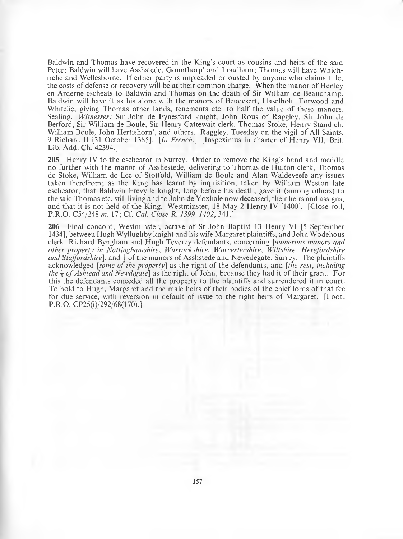Baldwin and Thomas have recovered in the King's court as cousins and heirs of the said Peter: Baldwin will have Asshstede, Gounthorp' and Loudham; Thomas will have Whichirche and Wellesborne. If either party is impleaded or ousted by anyone who claims title, the costs of defense or recovery will be at their common charge. When the manor of Henley en Arderne escheats to Baldwin and Thomas on the death of Sir William de Beauchamp, Baldwin will have it as his alone with the manors of Beudesert, Haselholt, Forwood and Whitelie, giving Thomas other lands, tenements etc. to half the value of these manors. Sealing. *Witnesses:* Sir John de Eynesford knight, John Rous of Raggley, Sir John de Berford, Sir William de Boule, Sir Henry Cattewait clerk, Thomas Stoke, Henry Standich, William Boule, John Hertishorn', and others. Raggley, Tuesday on the vigil of All Saints, 9 Richard II [31 October 1385]. *[In French*.] [Inspeximus in charter of Henry VII, Brit. Lib. Add. Ch. 42394.]

**205** Henry IV to the escheator in Surrey. Order to remove the King's hand and meddle no further with the manor of Asshestede, delivering to Thomas de Hulton clerk, Thomas de Stoke, William de Lee of Stotfold, William de Boule and Alan Waldeyeefe any issues taken therefrom; as the King has learnt by inquisition, taken by William Weston late escheator, that Baldwin Frevylle knight, long before his death, gave it (among others) to the said Thomas etc. still living and to John de Yoxhale now deceased, their heirs and assigns, and that it is not held of the King. Westminster, 18 May 2 Henry IV [1400]. [Close roll, P.R.O. C54/248 *m.* 17; Cf. *Cal. Close R. 1399-1402,* 341.]

**206** Final concord, Westminster, octave of St John Baptist 13 Henry **VI** [5 September 1434], between Hugh Wyllughby knight and his wife Margaret plaintiffs, and John Wodehous clerk, Richard Byngham and Hugh Teverey defendants, concerning *[numerous manors and other property in Nottinghamshire, Warwickshire, Worcestershire, Wiltshire, Herefordshire and Staffordshire*], and  $\frac{1}{3}$  of the manors of Asshstede and Newedegate, Surrey. The plaintiffs acknowledged *[some of the property]* as the right of the defendants, and *[the rest, including the \$ o f Ashtead and Newdigate]* as the right of John, because they had it of their grant. For this the defendants conceded all the property to the plaintiffs and surrendered it in court. To hold to Hugh, Margaret and the male heirs of their bodies of the chief lords of that fee for due service, with reversion in default of issue to the right heirs of Margaret. [Foot; P.R.O. CP25(i)/292/68(170).]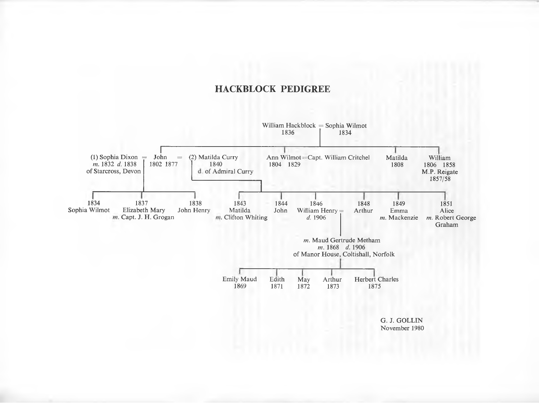## **HACKBLOCK PEDIGREE**



November 1980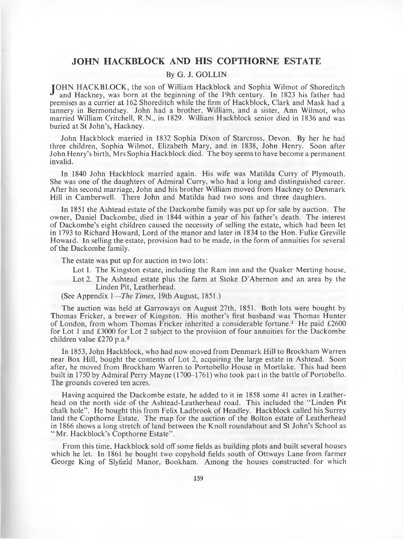## **JOHN HACKBLOCK AND HIS COPTHORNE ESTATE**

### **By G. J. GOLLIN**

TOHN HACKBLOCK, the son of William Hackblock and Sophia Wilmot of Shoreditch ^ and Hackney, was born at the beginning of the 19th century. In 1823 his father had premises as a currier at 162 Shoreditch while the firm of Hackblock, Clark and Mask had a tannery in Bermondsey. John had a brother, William, and a sister, Ann Wilmot, who married William Critchell, R.N., in 1829. William Hackblock senior died in 1836 and was buried at St John's, Hackney.

John Hackblock married in 1832 Sophia Dixon of Starcross, Devon. By her he had three children, Sophia Wilmot, Elizabeth Mary, and in 1838, John Henry. Soon after John Henry's birth, Mrs Sophia Hackblock died. The boy seems to have become a permanent invalid.

In 1840 John Hackblock married again. His wife was Matilda Curry of Plymouth. She was one of the daughters of Admiral Curry, who had a long and distinguished career. After his second marriage, John and his brother William moved from Hackney to Denmark Hill in Camberwell. There John and Matilda had two sons and three daughters.

In 1851 the Ashtead estate of the Dackombe family was put up for sale by auction. The owner, Daniel Dackombe, died in 1844 within a year of his father's death. The interest of Dackombe's eight children caused the necessity of selling the estate, which had been let in 1793 to Richard Howard, Lord of the manor and later in 1834 to the Hon. Fulke Greville Howaid. In selling the estate, provision had to be made, in the form of annuities foi several of the Dackombe family.

The estate was put up for auction in two lots:

- Lot 1. The Kingston estate, including the Ram inn and the Quaker Meeting house.
- Lot 2. The Ashtead estate plus the farm at Stoke D'Abernon and an area by the Linden Pit, Leatherhead.

(See Appendix 1*— The Times,* 19th August, 1851.)

The auction was held at Garroways on August 27th, 1851. Both lots were bought by Thomas Fricker, a brewer of Kingston. His mother's first husband was Thomas Hunter of London, from whom Thomas Fricker inherited a considerable fortune.<sup>1</sup> He paid £2600 for Lot 1 and £3000 for Lot 2 subject to the provision of four annuities for the Dackombe children value £270 p.a.<sup>2</sup>

In 1853, John Hackblock, who had now moved from Denmark Hill to Brockham Warren near Box Hill, bought the contents of Lot 2, acquiring the large estate in Ashtead. Soon after, he moved from Brockham Warren to Portobello House in Mortlake. This had been built in 1750 by Admiral Perry Mayne (1700-1761) who took pait in the battle of Portobello. The grounds covered ten acres.

Having acquired the Dackombe estate, he added to it in 1858 some 41 acres in Leatherhead on the north side of the Ashtead-Leatherhead road. This included the " Linden Pit chalk hole". He bought this from Felix Ladbrook of Headley. Hackblock called his Surrey land the Copthorne Estate. The map for the auction of the Bolton estate of Leatherhead in 1866 shows a long stretch of land between the Knoll roundabout and St John's School as "Mr. Hackblock's Copthorne Estate".

From this time, Hackblock sold off some fields as building plots and built several houses which he let. In 1861 he bought two copyhold fields south of Ottways Lane from farmer George King of Slyfield Manor, Bookham. Among the houses constructed for which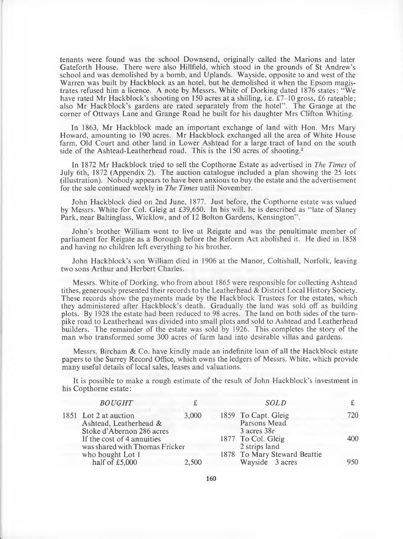tenants were found was the school Downsend, originally called the Marions and later Gateforth House. There were also Hillfield, which stood in the grounds of St Andrew's school and was demolished by a bomb, and Uplands. Wayside, opposite to and west of the Warren was built by Hackblock as an hotel, but he demolished it when the Epsom magistrates refused him a licence. A note by Messrs. White of Dorking dated 1876 states: "We have rated Mr Hackblock's shooting on 150 acres at a shilling, i.e. £7–10 gross, £6 rateable; also Mr Hackblock's gardens are rated separately from the hotel". The Grange at the corner of Ottways Lane and Grange Road he built for his daughter Mrs Clifton Whiting.

In 1863, Mr Hackblock made an important exchange of land with Hon. Mrs Mary Howard, amounting to 190 acres. Mr Hackblock exchanged all the area of White House farm, Old Court and other land in Lower Ashtead for a large tract of land on the south side of the Ashtead-Leatherhead road. This is the 150 acres of shooting.<sup>3</sup>

In 1872 Mr Hackblock tried to sell the Copthorne Estate as advertised in *The Times* of July 6th, 1872 (Appendix 2). The auction catalogue included a plan showing the 25 lots (illustration). Nobody appears to have been anxious to buy the estate and the advertisement for the sale continued weekly in *The Times* until November.

John Hackblock died on 2nd June, 1877. Just before, the Copthorne estate was valued by Messrs. White for Col. Gleig at £39,650. In his will, he is described as " late of Slaney Park, near Baltinglass, Wicklow, and of 12 Bolton Gardens, Kensington".

John's brother William went to live at Reigate and was the penultimate member of parliament for Reigate as a Borough before the Reform Act abolished it. He died in 1858 and having no children left everything to his brother.

John Hackblock's son William died in 1906 at the Manor, Coltishall, Norfolk, leaving two sons Arthur and Herbert Charles.

Messrs. White of Dorking, who from about 1865 were responsible for collecting Ashtead tithes, generously presented their records to the Leatherhead & District Local History Society. These records show the payments made by the Hackblock Trustees for the estates, which they administered after Hackblock's death. Gradually the land was sold off as building plots. By 1928 the estate had been reduced to 98 acres. The land on both sides of the turnpike road to Leatherhead was divided into small plots and sold to Ashtead and Leatherhead builders. The remainder of the estate was sold by 1926. This completes the story of the man who transformed some 300 acres of farm land into desirable villas and gardens.

Messrs. Bircham & Co. have kindly made an indefinite loan of all the Hackblock estate papers to the Surrey Record Office, which owns the ledgers of Messrs. White, which provide many useful details of local sales, leases and valuations.

It is possible to make a rough estimate of the result of John Hackblock's investment in his Copthorne estate:

| <b>BOUGHT</b>                                                                |       | <b>SOLD</b>                                        |     |
|------------------------------------------------------------------------------|-------|----------------------------------------------------|-----|
| 1851 Lot 2 at auction<br>Ashtead, Leatherhead &<br>Stoke d'Abernon 286 acres | 3,000 | 1859 To Capt. Gleig<br>Parsons Mead<br>3 acres 38r | 720 |
| If the cost of 4 annuities<br>was shared with Thomas Fricker                 |       | 1877 To Col. Gleig<br>2 strips land                | 400 |
| who bought Lot 1<br>half of $£5,000$                                         | 2,500 | 1878 To Mary Steward Beattie<br>Wayside 3 acres    | 950 |

160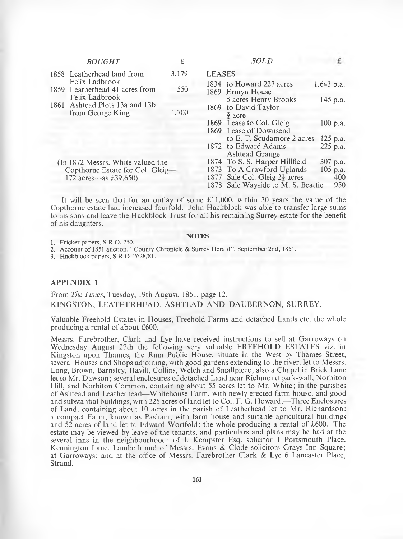| <b>BOUGHT</b>                                                                                  | £     | <b>SOLD</b>                                                                                                                                                    |                                      |
|------------------------------------------------------------------------------------------------|-------|----------------------------------------------------------------------------------------------------------------------------------------------------------------|--------------------------------------|
| 1858 Leatherhead land from                                                                     | 3,179 | <b>LEASES</b>                                                                                                                                                  |                                      |
| Felix Ladbrook<br>1859 Leatherhead 41 acres from                                               | 550   | 1834 to Howard 227 acres<br>1869 Ermyn House                                                                                                                   | $1,643$ p.a.                         |
| Felix Ladbrook<br>1861 Ashtead Plots 13a and 13b<br>from George King                           | 1,700 | 5 acres Henry Brooks<br>1869 to David Taylor<br>$rac{3}{4}$ acre                                                                                               | 145 p.a.                             |
|                                                                                                |       | 1869 Lease to Col. Gleig<br>1869 Lease of Downsend                                                                                                             | $100$ p.a.                           |
|                                                                                                |       | to E. T. Scudamore 2 acres<br>1872 to Edward Adams<br>Ashtead Grange                                                                                           | 125 p.a.<br>225 p.a.                 |
| (In 1872 Messrs. White valued the<br>Copthorne Estate for Col. Gleig-<br>172 acres—as £39,650) |       | 1874 To S. S. Harper Hillfield<br>1873 To A Crawford Uplands<br>1877 Sale Col. Gleig 2 <sup>1</sup> / <sub>2</sub> acres<br>1878 Sale Wayside to M. S. Beattie | 307 p.a.<br>$105$ p.a.<br>400<br>950 |

It will be seen that for an outlay of some £11,000, within 30 years the value of the Copthorne estate had increased fourfold. John Hackblock was able to transfer large sums to his sons and leave the Hackblock Trust for all his remaining Surrey estate for the benefit of his daughters.

#### **NOTES**

1. Fricker papers, S.R.O. 250.

2. Account of 1851 auction, "County Chronicle & Surrey Herald", September 2nd, 1851.

3. Hackblock papers, S.R.O. 2628/81.

### **APPENDIX 1**

## From *The Times,* Tuesday, 19th August, 1851, page 12. KINGSTON, LEATHERHEAD, ASHTEAD AND DAUBERNON, SURREY.

Valuable Freehold Estates in Houses, Freehold Farms and detached Lands etc. the whole producing a rental of about £600.

Messrs. Farebrother, Clark and Lye have received instructions to sell at Garroways on Wednesday August 27th the following very valuable FREEHOLD ESTATES viz. in Kingston upon Thames, the Ram Public House, situate in the West by Thames Street, several Houses and Shops adjoining, with good gardens extending to the river, let to Messrs. Long, Brown, Barnsley, Havill, Collins, Welch and Smallpiece; also a Chapel in Brick Lane let to Mr. Dawson; several enclosures of detached Land near Richmond park-wall, Norbiton Hill, and Norbiton Common, containing about 55 acres let to Mr. White; in the parishes of Ashtead and Leatherhead—Whitehouse Farm, with newly erected farm house, and good and substantial buildings, with 225 acres of land let to Col. F. G. Howard,—Three Enclosures of Land, containing about 10 acres in the parish of Leatherhead let to Mr. Richardson: a compact Farm, known as Pasham, with farm house and suitable agricultural buildings and 52 acres of land let to Edward Wortfold: the whole producing a rental of £600. The estate may be viewed by leave of the tenants, and particulars and plans may be had at the several inns in the neighbourhood: of J. Kempster Esq. solicitor I Portsmouth Place, Kennington Lane, Lambeth and of Messrs. Evans & Clode solicitors Grays Inn Square; at Garroways; and at the office of Messrs. Farebrother Clark & Lye 6 Lancaster Place, Strand.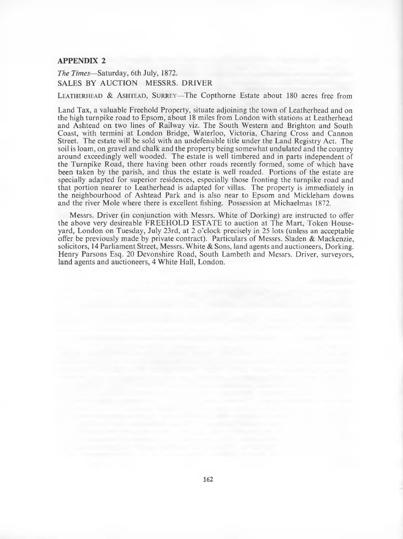#### **APPENDIX 2**

*The Times*—Saturday, 6th July, 1872. SALES BY AUCTION MESSRS. DRIVER

**LEATHERHEAD & ASHTEAD, SURREY—The Copthorne Estate about 180 acres free from** 

Land Tax, a valuable Freehold Property, situate adjoining the town of Leatherhead and on the high turnpike road to Epsom, about 18 miles from London with stations at Leatherhead and Ashtead on two lines of Railway viz. The South Western and Brighton and South Coast, with termini at London Bridge, Waterloo, Victoria, Charing Cross and Cannon Street. The estate will be sold with an undefensible title under the Land Registry Act. The soil is loam, on gravel and chalk and the property being somewhat undulated and the country around exceedingly well wooded. The estate is well timbered and in parts independent of the Turnpike Road, there having been other roads recently formed, some of which have been taken by the parish, and thus the estate is well roaded. Portions of the estate are specially adapted for superior residences, especially those fronting the turnpike road and that portion nearer to Leatherhead is adapted for villas. The property is immediately in the neighbourhood of Ashtead Park and is also near to Epsom and Mickleham downs and the river Mole where there is excellent fishing. Possession at Michaelmas 1872.

Messrs. Driver (in conjunction with Messrs. White of Dorking) are instructed to offer the above very desireable FREEHOLD ESTATE to auction at The Mart, Token Houseyard, London on Tuesday, July 23rd, at 2 o'clock precisely in 25 lots (unless an acceptable offer be previously made by private contract). Particulars of Messrs. Sladen & Mackenzie, solicitors, 14 Parliament Street, Messrs. White  $\&$  Sons, land agents and auctioneers, Dorking. Henry Parsons Esq. 20 Devonshire Road, South Lambeth and Messrs. Driver, surveyors, land agents and auctioneers, 4 White Hall, London.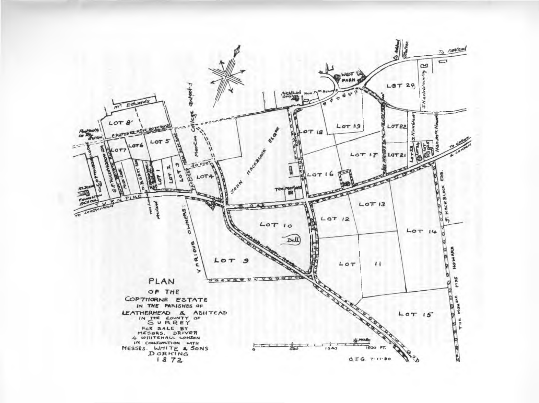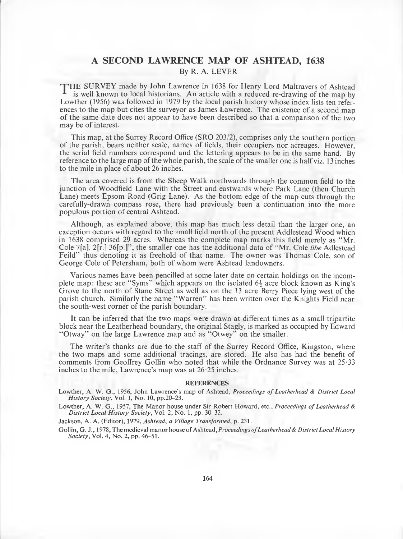## **A SECOND LAWRENCE MAP OF ASHTEAD, 1638** By R. A. LEVER

THE SURVEY made by John Lawrence in 1638 for Henry Lord Maltravers of Ashtead is well known to local historians. An article with a reduced re-drawing of the map by Lowther (1956) was followed in 1979 by the local parish history whose index lists ten references to the map but cites the surveyor as James Lawrence. The existence of a second map of the same date does not appear to have been described so that a comparison of the two may be of interest.

This map, at the Surrey Record Office (SRO 203/2), comprises only the southern portion of the parish, bears neither scale, names of fields, their occupiers nor acreages. However, the serial field numbers correspond and the lettering appears to be in the same hand. By reference to the large map of the whole parish, the scale of the smaller one is half viz. 13 inches to the mile in place of about 26 inches.

The area covered is from the Sheep Walk northwards through the common field to the junction of Woodfield Lane with the Street and eastwards where Park Lane (then Church Lane) meets Epsom Road (Grig Lane). As the bottom edge of the map cuts through the carefully-drawn compass rose, there had previously been a continuation into the more populous portion of central Ashtead.

Although, as explained above, this map has much less detail than the larger one, an exception occurs with regard to the small field north of the present Addlestead Wood which in  $1638$  comprised 29 acres. Whereas the complete map marks this field merely as "Mr. Cole 7[a], 2[r.] 36[p.]", the smaller one has the additional data of " Mr. Cole *libe* Adlestead Feild" thus denoting it as freehold of that name. The owner was Thomas Cole, son of George Cole of Petersham, both of whom were Ashtead landowners.

Various names have been pencilled at some later date on certain holdings on the incomplete map: these are "Syms" which appears on the isolated  $6\frac{1}{2}$  acre block known as King's Grove to the north of Stane Street as well as on the 13 acre Berry Piece lying west of the parish church. Similarly the name "Warren" has been written over the Knights Field near the south-west corner of the parish boundary.

It can be inferred that the two maps were drawn at different times as a small tripartite block near the Leatherhead boundary, the original Stagly, is marked as occupied by Edward "Otway" on the large Lawrence map and as "Otwey" on the smaller.

The writer's thanks are due to the staff of the Surrey Record Office, Kingston, where the two maps and some additional tracings, are stored. He also has had the benefit of comments from Geoffrey Gollin who noted that while the Ordnance Survey was at 25-33 inches to the mile, Lawrence's map was at 26-25 inches.

#### **REFERENCES**

Lowther, A. W. G., 1956, John Lawrence's map of Ashtead, *Proceedings of Leatherhead & District Local History Society*, Vol. 1, No. 10, pp.20-23.

Lowther, A. W. G., 1957, The Manor house under Sir Robert Howard, etc., *Proceedings of Leatherhead & District Local History Society,* Vol. 2, No. 1, pp. 30-32.

Jackson, A. A. (Editor), 1979, *Ashtead, a Village Transformed,* p. 231.

Gollin, G. J., 1978, The medieval manor house of Ashtead, *Proceedings ofLeatherhead & District Local History Society,* Vol. 4, No. *2,* pp. 46-51.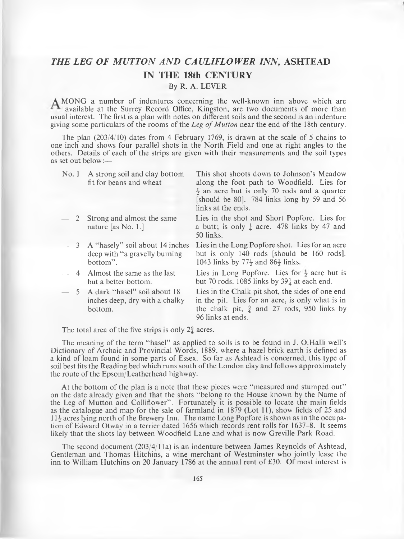## <span id="page-22-0"></span>*THE LEG OF MUTTON AND CAULIFLOWER INN,* **ASHTEAD IN THE 18th CENTURY**

**By R. A. LEVER**

**A** MONG a number of indentures concerning the well-known inn above which are available at the Surrey Record Office, Kingston, are two documents of more than usual interest. The first is a plan with notes on different soils and the second is an indenture giving some particulars of the rooms of the *Leg of Mutton* near the end of the 18th century.

The plan  $(203/4/10)$  dates from 4 February 1769, is drawn at the scale of 5 chains to one inch and shows four parallel shots in the North Field and one at right angles to the others. Details of each of the strips are given with their measurements and the soil types as set out below:—

| No.1 | A strong soil and clay bottom<br>fit for beans and wheat                            | This shot shoots down to Johnson's Meadow<br>along the foot path to Woodfield. Lies for<br>$\frac{1}{2}$ an acre but is only 70 rods and a quarter<br>[should be 80]. 784 links long by 59 and 56<br>links at the ends. |
|------|-------------------------------------------------------------------------------------|-------------------------------------------------------------------------------------------------------------------------------------------------------------------------------------------------------------------------|
|      | - 2 Strong and almost the same<br>nature [as No. 1.]                                | Lies in the shot and Short Popfore. Lies for<br>a butt; is only $\frac{1}{4}$ acre. 478 links by 47 and<br>50 links.                                                                                                    |
|      | $-$ 3 A "hasely" soil about 14 inches<br>deep with "a gravelly burning"<br>bottom". | Lies in the Long Popfore shot. Lies for an acre<br>but is only 140 rods [should be 160 rods].<br>1043 links by $77\frac{1}{2}$ and $86\frac{1}{2}$ links.                                                               |
|      | - 4 Almost the same as the last<br>but a better bottom.                             | Lies in Long Popfore. Lies for $\frac{1}{2}$ acre but is<br>but 70 rods. 1085 links by $39\frac{1}{4}$ at each end.                                                                                                     |
|      | 5 A dark "hasel" soil about 18                                                      | Lies in the Chalk pit shot, the sides of one end                                                                                                                                                                        |

inches deep, dry with a chalky in the pit. Lies for an acre, is only what is in bottom. the chalk pit,  $\frac{3}{4}$  and 27 rods, 950 links by 96 links at ends.

The total area of the five strips is only  $2\frac{3}{4}$  acres.

The meaning of the term "hasel" as applied to soils is to be found in J. O.Halli well's Dictionary of Archaic and Provincial Words, 1889, where a hazel brick earth is defined as a kind of loam found in some parts of Essex. So far as Ashtead is concerned, this type of soil best fits the Reading bed which runs south of the London clay and follows approximately the route of the Epsom/Leatherhead highway.

At the bottom of the plan is a note that these pieces were "measured and stumped out" on the date already given and that the shots "belong to the House known by the Name of the Leg of Mutton and Colliflower". Fortunately it is possible to locate the main fields as the catalogue and map for the sale of farmland in 1879 (Lot 11), show fields of 25 and  $11\frac{1}{2}$  acres lying north of the Brewery Inn. The name Long Popfore is shown as in the occupation of Edward Otway in a terrier dated 1656 which records rent rolls for 1637-8. It seems likely that the shots lay between Woodfield Lane and what is now Greville Park Road.

The second document (203/4/1 la) is an indenture between James Reynolds of Ashtead, Gentleman and Thomas Hitchins, a wine merchant of Westminster who jointly lease the inn to William Hutchins on 20 January 1786 at the annual rent of £30. Of most interest is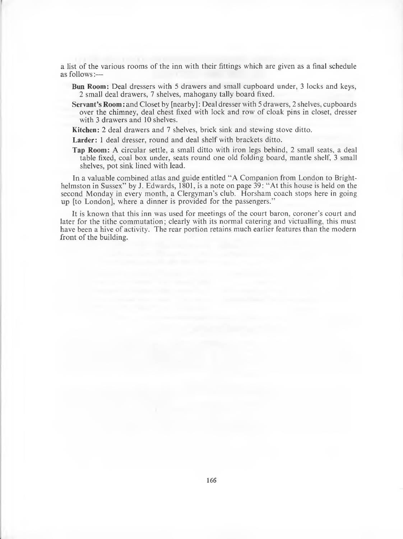a list of the various rooms of the inn with their fittings which are given as a final schedule as follows:—

- **Bun Room:** Deal dressers with 5 drawers and small cupboard under, 3 locks and keys, 2 small deal drawers, 7 shelves, mahogany tally board fixed.
- **Servant's Room**: and Closet by [nearby]: Deal dresser with 5 drawers, 2 shelves, cupboards over the chimney, deal chest fixed with lock and row of cloak pins in closet, dresser with 3 drawers and 10 shelves.

**Kitchen:** 2 deal drawers and 7 shelves, brick sink and stewing stove ditto.

**Larder:** 1 deal dresser, round and deal shelf with brackets ditto.

**Tap Room:** A circular settle, a small ditto with iron legs behind, 2 small seats, a deal table fixed, coal box under, seats round one old folding board, mantle shelf, 3 small shelves, pot sink lined with lead.

In a valuable combined atlas and guide entitled "A Companion from London to Brighthelmston in Sussex" by J. Edwards, 1801, is a note on page 39: "At this house is held on the second Monday in every month, a Clergyman's club. Horsham coach stops here in going up [to London], where a dinner is provided for the passengers."

It is known that this inn was used for meetings of the court baron, coroner's court and later for the tithe commutation; clearly with its normal catering and victualling, this must have been a hive of activity. The rear portion retains much earlier features than the modern front of the building.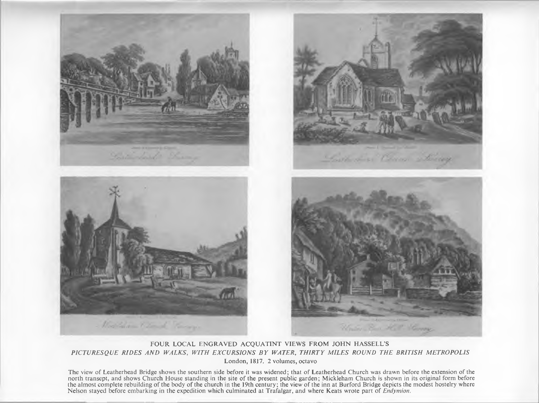

## FOUR LOCAL ENGRAVED ACQUATINT VIEWS FROM JOHN HASSELL'S PICTURESQUE RIDES AND WALKS, WITH EXCURSIONS BY WATER, THIRTY MILES ROUND THE BRITISH METROPOLIS London, 1817. 2 volumes, octavo

The view of Leatherhead Bridge shows the southern side before it was widened; that of Leatherhead Church was drawn before the extension of the north transept, and shows Church House standing in the site of the present public garden; Mickleham Church is shown in its original form before the almost complete rebuilding of the body of the church in the 19th century; the view of the inn at Burford Bridge depicts the modest hostelry where<br>Nelson stayed before embarking in the expedition which culminated at Tra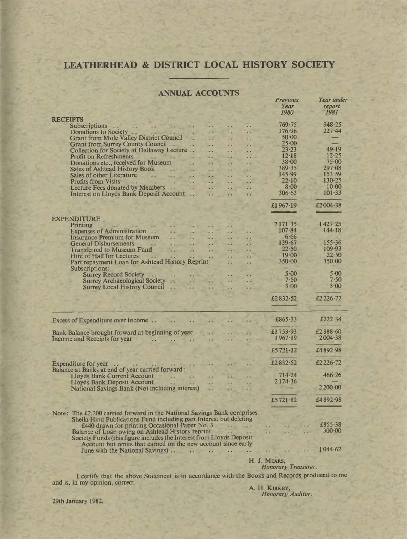## **LEATHERHEAD & DISTRICT LOCAL HISTORY SOCIETY**

### **ANNUAL ACCOUNTS**

|                                                                                                                                                                                                         | <b>Previous</b>                                                                                                                                                                                                                      | Year under                 |
|---------------------------------------------------------------------------------------------------------------------------------------------------------------------------------------------------------|--------------------------------------------------------------------------------------------------------------------------------------------------------------------------------------------------------------------------------------|----------------------------|
|                                                                                                                                                                                                         | Year<br>1980                                                                                                                                                                                                                         | report<br>1981             |
| <b>RECEIPTS</b>                                                                                                                                                                                         |                                                                                                                                                                                                                                      |                            |
| Subscriptions<br>$\sim$<br>$\ddot{\phantom{1}}$<br>$\sim$ $\sim$                                                                                                                                        | 769.75                                                                                                                                                                                                                               | 948.25                     |
| Donations to Society<br>$\ddot{\phantom{a}}$<br>. .<br>. .                                                                                                                                              | 176.96                                                                                                                                                                                                                               | $227 - 44$                 |
| Grant from Mole Valley District Council<br>$\ddotsc$                                                                                                                                                    | 50.00<br>25.00                                                                                                                                                                                                                       | $\overline{\phantom{a}}$   |
| <b>Grant from Surrey County Council</b><br>$\ddot{\phantom{a}}$<br>. .                                                                                                                                  | $23 - 23$                                                                                                                                                                                                                            | 49.19                      |
| Collection for Society at Dallaway Lecture<br><b>Profit on Refreshments</b>                                                                                                                             | $12 - 18$                                                                                                                                                                                                                            | 12.25                      |
| Donations etc., received for Museum<br>$\ddot{\phantom{a}}$<br>. .                                                                                                                                      | 38.00                                                                                                                                                                                                                                | $75 - 00$                  |
| Sales of Ashtead History Book<br>$= -1$<br>$\dddot{\phantom{0}}$<br>$\ddot{\phantom{a}}$<br>. .                                                                                                         | 389.35                                                                                                                                                                                                                               | $297 - 08$                 |
| Sales of other Literature<br>$\frac{1}{2} \left( \frac{1}{2} \right) \left( \frac{1}{2} \right) \left( \frac{1}{2} \right) \left( \frac{1}{2} \right)$<br>. .<br>$\ddot{\phantom{0}}$<br>$\overline{a}$ | 145.99                                                                                                                                                                                                                               | 153.59                     |
| <b>Profits from Visits</b><br>$\cdots$ $\cdots$<br>$\dddot{\phantom{0}}$<br>$\cdots$<br>ш.<br>$\ddot{\phantom{a}}$                                                                                      | $22 \cdot 10$                                                                                                                                                                                                                        | 130.25                     |
| Lecture Fees donated by Members<br>$\dddot{\phantom{1}}$<br>$\sim$ $\sim$<br>. .<br>$\ddot{\phantom{a}}$                                                                                                | $8 - 00$                                                                                                                                                                                                                             | 10.00                      |
| Interest on Lloyds Bank Deposit Account<br>. .<br>$\ddot{\phantom{a}}$                                                                                                                                  | 306.63                                                                                                                                                                                                                               | $101 - 33$                 |
|                                                                                                                                                                                                         | £1967 $·19$                                                                                                                                                                                                                          | £2004 $-38$                |
|                                                                                                                                                                                                         | <b>Contract of the Contract of the Contract of the Contract of the Contract of The Contract of The Contract of The Contract of The Contract of The Contract of The Contract of The Contract of The Contract of The Contract of T</b> | <b>WELL-PROTECTIVE SER</b> |
| <b>EXPENDITURE</b>                                                                                                                                                                                      |                                                                                                                                                                                                                                      |                            |
| $\mathbb{R}$<br>Printing                                                                                                                                                                                | 2171.35                                                                                                                                                                                                                              | 1427.25                    |
| Expenses of Administration<br>. .<br>m.                                                                                                                                                                 | 107.84                                                                                                                                                                                                                               | 144.18                     |
| <b>Insurance Premium for Museum</b><br>$\sim$<br>$\overline{\cdot}$ .<br>$\ddot{\phantom{a}}$<br>$\overline{a}$                                                                                         | 6.66                                                                                                                                                                                                                                 |                            |
| General Disbursements                                                                                                                                                                                   | 139.67                                                                                                                                                                                                                               | 155.36                     |
| <b>Transferred to Museum Fund</b><br><b>VALUE</b><br>$\ddot{\phantom{a}}$                                                                                                                               | $22 - 50$                                                                                                                                                                                                                            | 109.93                     |
| Hire of Hall for Lectures<br>. .                                                                                                                                                                        | 19.00                                                                                                                                                                                                                                | 22.50                      |
| Part repayment Loan for Ashtead History Reprint                                                                                                                                                         | 350.00                                                                                                                                                                                                                               | 350.00                     |
| Subscriptions:                                                                                                                                                                                          | 5.00                                                                                                                                                                                                                                 | 5.00                       |
| <b>Surrey Record Society</b><br>$\ddot{\phantom{a}}$<br><b>Surrey Archaeological Society</b>                                                                                                            | 7.50                                                                                                                                                                                                                                 | 7.50                       |
| $\overline{\mathcal{L}}$ .<br>a a<br><b>Surrey Local History Council</b><br>$\overline{1}$<br>Ц.                                                                                                        | $3-00$                                                                                                                                                                                                                               | 5.00                       |
|                                                                                                                                                                                                         |                                                                                                                                                                                                                                      |                            |
|                                                                                                                                                                                                         | £2832.52                                                                                                                                                                                                                             | £2226.72                   |
|                                                                                                                                                                                                         |                                                                                                                                                                                                                                      |                            |
| Excess of Expenditure over Income                                                                                                                                                                       | £865 $-33$                                                                                                                                                                                                                           | £222 $-34$                 |
|                                                                                                                                                                                                         |                                                                                                                                                                                                                                      |                            |
| Bank Balance brought forward at beginning of year                                                                                                                                                       | £3753.93                                                                                                                                                                                                                             | £2888.60                   |
| Income and Receipts for year<br>$\sim$                                                                                                                                                                  | 1967.19                                                                                                                                                                                                                              | 2004.38                    |
|                                                                                                                                                                                                         |                                                                                                                                                                                                                                      |                            |
|                                                                                                                                                                                                         | £5721.12                                                                                                                                                                                                                             | £4892.98                   |
| Expenditure for year                                                                                                                                                                                    | £2832.52                                                                                                                                                                                                                             | £2226 $-72$                |
| $\sim$<br>Balance at Banks at end of year carried forward:                                                                                                                                              |                                                                                                                                                                                                                                      |                            |
| Lloyds Bank Current Account                                                                                                                                                                             | 714.24                                                                                                                                                                                                                               | 466.26                     |
| Lloyds Bank Deposit Account                                                                                                                                                                             | 2174.36                                                                                                                                                                                                                              |                            |
| National Savings Bank (Not including interest)                                                                                                                                                          |                                                                                                                                                                                                                                      | 2200.00                    |
|                                                                                                                                                                                                         |                                                                                                                                                                                                                                      |                            |
|                                                                                                                                                                                                         | £5721 $\cdot$ 12                                                                                                                                                                                                                     | £4892.98                   |
| Note: The £2,200 carried forward in the National Savings Bank comprises:                                                                                                                                |                                                                                                                                                                                                                                      |                            |
| Sheila Hind Publications Fund including part Interest but deleting                                                                                                                                      |                                                                                                                                                                                                                                      |                            |
| £440 drawn for printing Occasional Paper No. 3<br>$\mathbf{v} = \mathbf{v} + \mathbf{v}$                                                                                                                |                                                                                                                                                                                                                                      | £855.38                    |
| Balance of Loan owing on Ashtead History reprint                                                                                                                                                        |                                                                                                                                                                                                                                      | 300 00                     |
| Society Funds (this figure includes the Interest from Lloyds Deposit                                                                                                                                    |                                                                                                                                                                                                                                      |                            |
| Account but omits that earned on the new account since early                                                                                                                                            |                                                                                                                                                                                                                                      |                            |
|                                                                                                                                                                                                         |                                                                                                                                                                                                                                      | 1044.62                    |
|                                                                                                                                                                                                         |                                                                                                                                                                                                                                      |                            |

H. J. MEARS,<br>*Honorary Treasurer*.

I certify that the above Statement is in accordance with the Books and Records produced to me and is, in my opinion, correct.

29th January 1982.

A. H. KIRKBY, *Auditor*